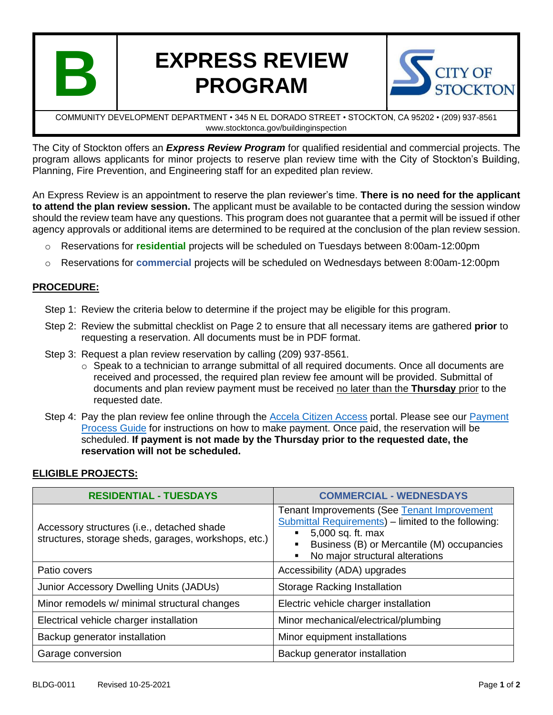

# **EXPRESS REVIEW PROGRAM**



COMMUNITY DEVELOPMENT DEPARTMENT • 345 N EL DORADO STREET • STOCKTON, CA 95202 • (209) 937-8561 www.stocktonca.gov/buildinginspection

The City of Stockton offers an *Express Review Program* for qualified residential and commercial projects. The program allows applicants for minor projects to reserve plan review time with the City of Stockton's Building, Planning, Fire Prevention, and Engineering staff for an expedited plan review.

An Express Review is an appointment to reserve the plan reviewer's time. **There is no need for the applicant to attend the plan review session.** The applicant must be available to be contacted during the session window should the review team have any questions. This program does not guarantee that a permit will be issued if other agency approvals or additional items are determined to be required at the conclusion of the plan review session.

- o Reservations for **residential** projects will be scheduled on Tuesdays between 8:00am-12:00pm
- o Reservations for **commercial** projects will be scheduled on Wednesdays between 8:00am-12:00pm

## **PROCEDURE:**

- Step 1: Review the criteria below to determine if the project may be eligible for this program.
- Step 2: Review the submittal checklist on Page 2 to ensure that all necessary items are gathered **prior** to requesting a reservation. All documents must be in PDF format.
- Step 3: Request a plan review reservation by calling (209) 937-8561.
	- $\circ$  Speak to a technician to arrange submittal of all required documents. Once all documents are received and processed, the required plan review fee amount will be provided. Submittal of documents and plan review payment must be received no later than the **Thursday** prior to the requested date.
- Step 4: Pay the plan review fee online through the [Accela Citizen Access](https://aca-prod.accela.com/STOCKTON/Default.aspx) portal. Please see our Payment [Process Guide](http://www.stocktonca.gov/files/CDD_Permit_Online_Payment_Process.pdf) for instructions on how to make payment. Once paid, the reservation will be scheduled. **If payment is not made by the Thursday prior to the requested date, the reservation will not be scheduled.**

## **ELIGIBLE PROJECTS:**

| <b>RESIDENTIAL - TUESDAYS</b>                                                                      | <b>COMMERCIAL - WEDNESDAYS</b>                                                                                                                                                                                  |
|----------------------------------------------------------------------------------------------------|-----------------------------------------------------------------------------------------------------------------------------------------------------------------------------------------------------------------|
| Accessory structures (i.e., detached shade<br>structures, storage sheds, garages, workshops, etc.) | Tenant Improvements (See Tenant Improvement<br><b>Submittal Requirements)</b> – limited to the following:<br>5,000 sq. ft. max<br>Business (B) or Mercantile (M) occupancies<br>No major structural alterations |
| Patio covers                                                                                       | Accessibility (ADA) upgrades                                                                                                                                                                                    |
| Junior Accessory Dwelling Units (JADUs)                                                            | <b>Storage Racking Installation</b>                                                                                                                                                                             |
| Minor remodels w/ minimal structural changes                                                       | Electric vehicle charger installation                                                                                                                                                                           |
| Electrical vehicle charger installation                                                            | Minor mechanical/electrical/plumbing                                                                                                                                                                            |
| Backup generator installation                                                                      | Minor equipment installations                                                                                                                                                                                   |
| Garage conversion                                                                                  | Backup generator installation                                                                                                                                                                                   |